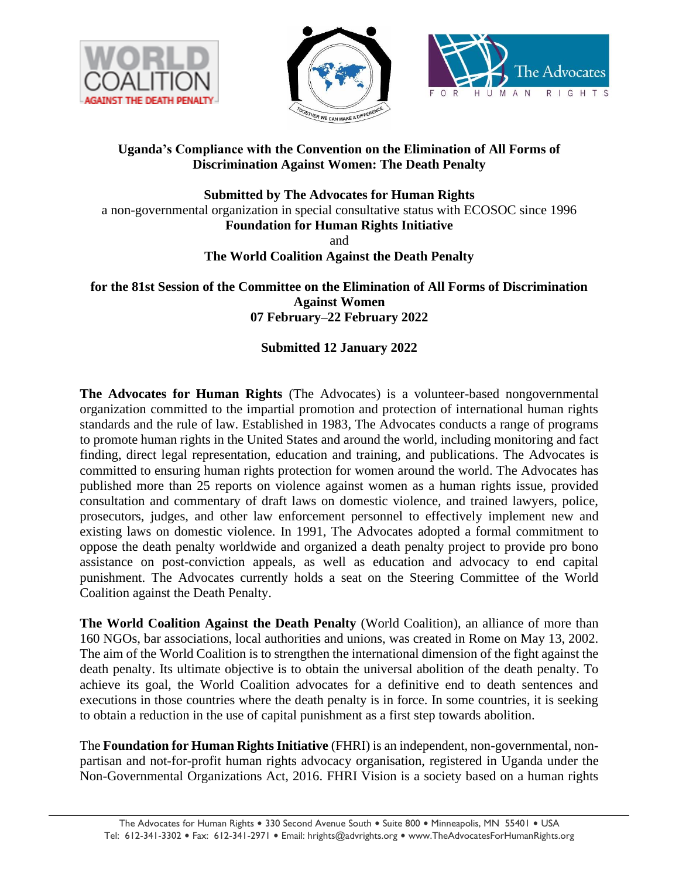





## **Uganda's Compliance with the Convention on the Elimination of All Forms of Discrimination Against Women: The Death Penalty**

**Submitted by The Advocates for Human Rights** a non-governmental organization in special consultative status with ECOSOC since 1996 **Foundation for Human Rights Initiative** and

**The World Coalition Against the Death Penalty**

**for the 81st Session of the Committee on the Elimination of All Forms of Discrimination Against Women 07 February–22 February 2022**

# **Submitted 12 January 2022**

**The Advocates for Human Rights** (The Advocates) is a volunteer-based nongovernmental organization committed to the impartial promotion and protection of international human rights standards and the rule of law. Established in 1983, The Advocates conducts a range of programs to promote human rights in the United States and around the world, including monitoring and fact finding, direct legal representation, education and training, and publications. The Advocates is committed to ensuring human rights protection for women around the world. The Advocates has published more than 25 reports on violence against women as a human rights issue, provided consultation and commentary of draft laws on domestic violence, and trained lawyers, police, prosecutors, judges, and other law enforcement personnel to effectively implement new and existing laws on domestic violence. In 1991, The Advocates adopted a formal commitment to oppose the death penalty worldwide and organized a death penalty project to provide pro bono assistance on post-conviction appeals, as well as education and advocacy to end capital punishment. The Advocates currently holds a seat on the Steering Committee of the World Coalition against the Death Penalty.

**The World Coalition Against the Death Penalty** (World Coalition), an alliance of more than 160 NGOs, bar associations, local authorities and unions, was created in Rome on May 13, 2002. The aim of the World Coalition is to strengthen the international dimension of the fight against the death penalty. Its ultimate objective is to obtain the universal abolition of the death penalty. To achieve its goal, the World Coalition advocates for a definitive end to death sentences and executions in those countries where the death penalty is in force. In some countries, it is seeking to obtain a reduction in the use of capital punishment as a first step towards abolition.

The **Foundation for Human Rights Initiative** (FHRI) is an independent, non-governmental, nonpartisan and not-for-profit human rights advocacy organisation, registered in Uganda under the Non-Governmental Organizations Act, 2016. FHRI Vision is a society based on a human rights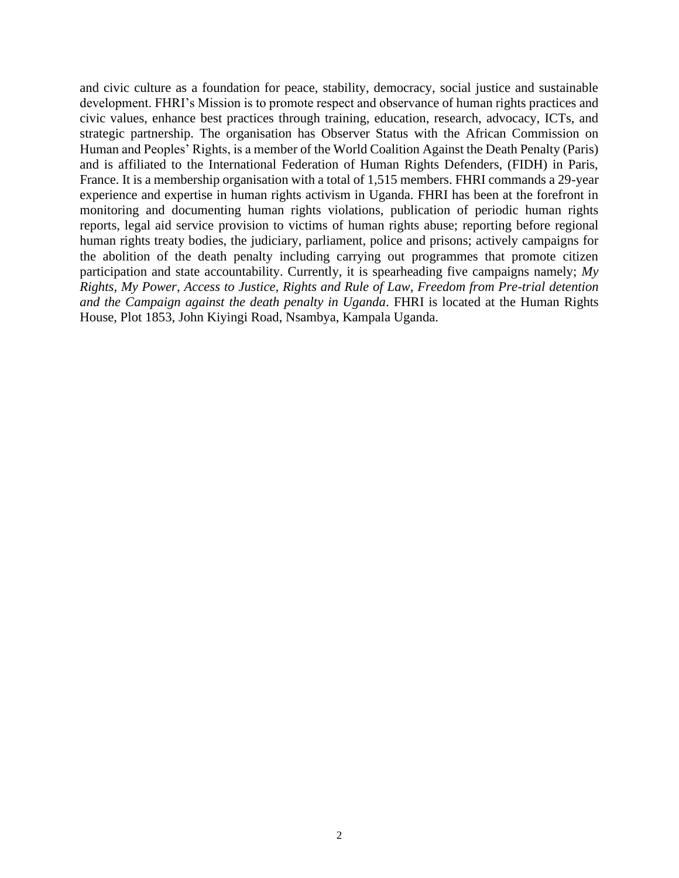and civic culture as a foundation for peace, stability, democracy, social justice and sustainable development. FHRI's Mission is to promote respect and observance of human rights practices and civic values, enhance best practices through training, education, research, advocacy, ICTs, and strategic partnership. The organisation has Observer Status with the African Commission on Human and Peoples' Rights, is a member of the World Coalition Against the Death Penalty (Paris) and is affiliated to the International Federation of Human Rights Defenders, (FIDH) in Paris, France. It is a membership organisation with a total of 1,515 members. FHRI commands a 29-year experience and expertise in human rights activism in Uganda. FHRI has been at the forefront in monitoring and documenting human rights violations, publication of periodic human rights reports, legal aid service provision to victims of human rights abuse; reporting before regional human rights treaty bodies, the judiciary, parliament, police and prisons; actively campaigns for the abolition of the death penalty including carrying out programmes that promote citizen participation and state accountability. Currently, it is spearheading five campaigns namely; *My Rights, My Power, Access to Justice, Rights and Rule of Law, Freedom from Pre-trial detention and the Campaign against the death penalty in Uganda*. FHRI is located at the Human Rights House, Plot 1853, John Kiyingi Road, Nsambya, Kampala Uganda.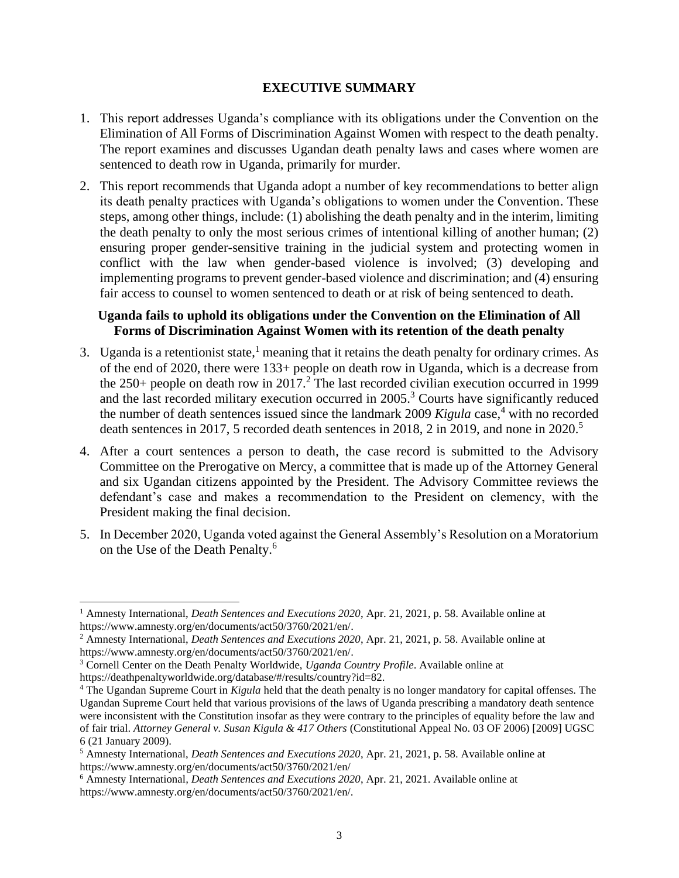#### **EXECUTIVE SUMMARY**

- 1. This report addresses Uganda's compliance with its obligations under the Convention on the Elimination of All Forms of Discrimination Against Women with respect to the death penalty. The report examines and discusses Ugandan death penalty laws and cases where women are sentenced to death row in Uganda, primarily for murder.
- 2. This report recommends that Uganda adopt a number of key recommendations to better align its death penalty practices with Uganda's obligations to women under the Convention. These steps, among other things, include: (1) abolishing the death penalty and in the interim, limiting the death penalty to only the most serious crimes of intentional killing of another human; (2) ensuring proper gender-sensitive training in the judicial system and protecting women in conflict with the law when gender-based violence is involved; (3) developing and implementing programs to prevent gender-based violence and discrimination; and (4) ensuring fair access to counsel to women sentenced to death or at risk of being sentenced to death.

#### **Uganda fails to uphold its obligations under the Convention on the Elimination of All Forms of Discrimination Against Women with its retention of the death penalty**

- 3. Uganda is a retentionist state, $<sup>1</sup>$  meaning that it retains the death penalty for ordinary crimes. As</sup> of the end of 2020, there were 133+ people on death row in Uganda, which is a decrease from the  $250+$  people on death row in  $2017<sup>2</sup>$ . The last recorded civilian execution occurred in 1999 and the last recorded military execution occurred in  $2005$ .<sup>3</sup> Courts have significantly reduced the number of death sentences issued since the landmark 2009 *Kigula* case, <sup>4</sup> with no recorded death sentences in 2017, 5 recorded death sentences in 2018, 2 in 2019, and none in  $2020$ <sup>5</sup>
- 4. After a court sentences a person to death, the case record is submitted to the Advisory Committee on the Prerogative on Mercy, a committee that is made up of the Attorney General and six Ugandan citizens appointed by the President. The Advisory Committee reviews the defendant's case and makes a recommendation to the President on clemency, with the President making the final decision.
- 5. In December 2020, Uganda voted against the General Assembly's Resolution on a Moratorium on the Use of the Death Penalty.<sup>6</sup>

<sup>1</sup> Amnesty International, *Death Sentences and Executions 2020*, Apr. 21, 2021, p. 58. Available online at [https://www.amnesty.org/en/documents/act50/3760/2021/en/.](https://www.amnesty.org/en/documents/act50/3760/2021/en/)

<sup>2</sup> Amnesty International, *Death Sentences and Executions 2020*, Apr. 21, 2021, p. 58. Available online at [https://www.amnesty.org/en/documents/act50/3760/2021/en/.](https://www.amnesty.org/en/documents/act50/3760/2021/en/)

<sup>3</sup> Cornell Center on the Death Penalty Worldwide, *Uganda Country Profile*. Available online at https://deathpenaltyworldwide.org/database/#/results/country?id=82.

<sup>4</sup> The Ugandan Supreme Court in *Kigula* held that the death penalty is no longer mandatory for capital offenses. The Ugandan Supreme Court held that various provisions of the laws of Uganda prescribing a mandatory death sentence were inconsistent with the Constitution insofar as they were contrary to the principles of equality before the law and of fair trial. *Attorney General v. Susan Kigula & 417 Others* (Constitutional Appeal No. 03 OF 2006) [2009] UGSC 6 (21 January 2009).

<sup>5</sup> Amnesty International, *Death Sentences and Executions 2020*, Apr. 21, 2021, p. 58. Available online at <https://www.amnesty.org/en/documents/act50/3760/2021/en/>

<sup>6</sup> Amnesty International*, Death Sentences and Executions 2020*, Apr. 21, 2021. Available online at https://www.amnesty.org/en/documents/act50/3760/2021/en/.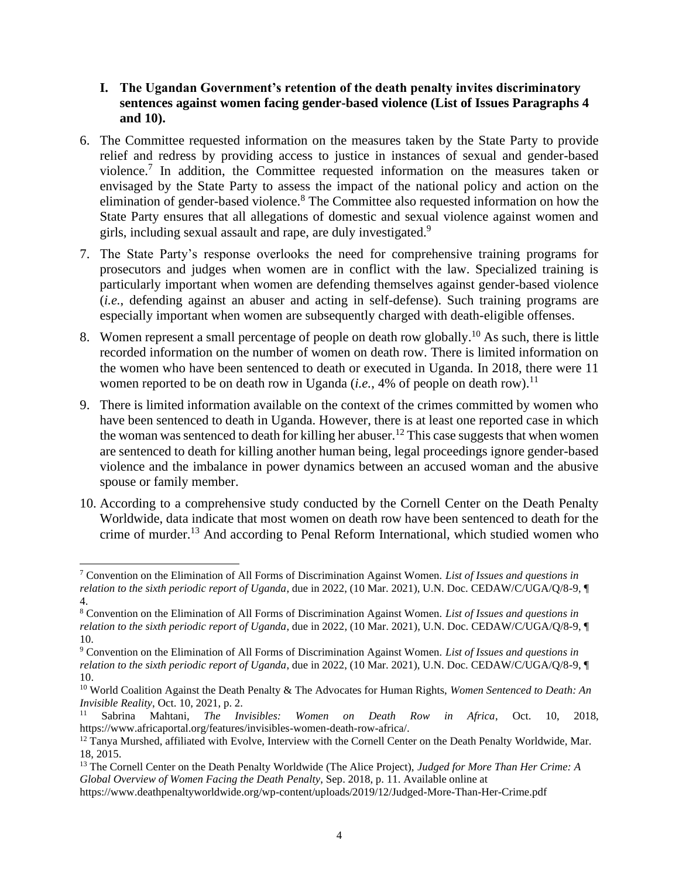### **I. The Ugandan Government's retention of the death penalty invites discriminatory sentences against women facing gender-based violence (List of Issues Paragraphs 4 and 10).**

- 6. The Committee requested information on the measures taken by the State Party to provide relief and redress by providing access to justice in instances of sexual and gender-based violence.<sup>7</sup> In addition, the Committee requested information on the measures taken or envisaged by the State Party to assess the impact of the national policy and action on the elimination of gender-based violence.<sup>8</sup> The Committee also requested information on how the State Party ensures that all allegations of domestic and sexual violence against women and girls, including sexual assault and rape, are duly investigated.<sup>9</sup>
- 7. The State Party's response overlooks the need for comprehensive training programs for prosecutors and judges when women are in conflict with the law. Specialized training is particularly important when women are defending themselves against gender-based violence (*i.e.*, defending against an abuser and acting in self-defense). Such training programs are especially important when women are subsequently charged with death-eligible offenses.
- 8. Women represent a small percentage of people on death row globally.<sup>10</sup> As such, there is little recorded information on the number of women on death row. There is limited information on the women who have been sentenced to death or executed in Uganda. In 2018, there were 11 women reported to be on death row in Uganda (*i.e.*, 4% of people on death row).<sup>11</sup>
- 9. There is limited information available on the context of the crimes committed by women who have been sentenced to death in Uganda. However, there is at least one reported case in which the woman was sentenced to death for killing her abuser.<sup>12</sup> This case suggests that when women are sentenced to death for killing another human being, legal proceedings ignore gender-based violence and the imbalance in power dynamics between an accused woman and the abusive spouse or family member.
- 10. According to a comprehensive study conducted by the Cornell Center on the Death Penalty Worldwide, data indicate that most women on death row have been sentenced to death for the crime of murder.<sup>13</sup> And according to Penal Reform International, which studied women who

<sup>7</sup> Convention on the Elimination of All Forms of Discrimination Against Women. *List of Issues and questions in relation to the sixth periodic report of Uganda*, due in 2022, (10 Mar. 2021), U.N. Doc. CEDAW/C/UGA/Q/8-9, ¶ 4.

<sup>8</sup> Convention on the Elimination of All Forms of Discrimination Against Women. *List of Issues and questions in relation to the sixth periodic report of Uganda*, due in 2022, (10 Mar. 2021), U.N. Doc. CEDAW/C/UGA/Q/8-9, ¶ 10.

<sup>9</sup> Convention on the Elimination of All Forms of Discrimination Against Women. *List of Issues and questions in relation to the sixth periodic report of Uganda*, due in 2022, (10 Mar. 2021), U.N. Doc. CEDAW/C/UGA/Q/8-9, ¶ 10.

<sup>10</sup> World Coalition Against the Death Penalty & The Advocates for Human Rights, *Women Sentenced to Death: An Invisible Reality*, Oct. 10, 2021, p. 2.

<sup>11</sup> Sabrina Mahtani, *The Invisibles: Women on Death Row in Africa*, Oct. 10, 2018, [https://www.africaportal.org/features/invisibles-women-death-row-africa/.](https://www.africaportal.org/features/invisibles-women-death-row-africa/)

<sup>&</sup>lt;sup>12</sup> Tanya Murshed, affiliated with Evolve, Interview with the Cornell Center on the Death Penalty Worldwide, Mar. 18, 2015.

<sup>13</sup> The Cornell Center on the Death Penalty Worldwide (The Alice Project), *Judged for More Than Her Crime: A Global Overview of Women Facing the Death Penalty*, Sep. 2018, p. 11. Available online at https://www.deathpenaltyworldwide.org/wp-content/uploads/2019/12/Judged-More-Than-Her-Crime.pdf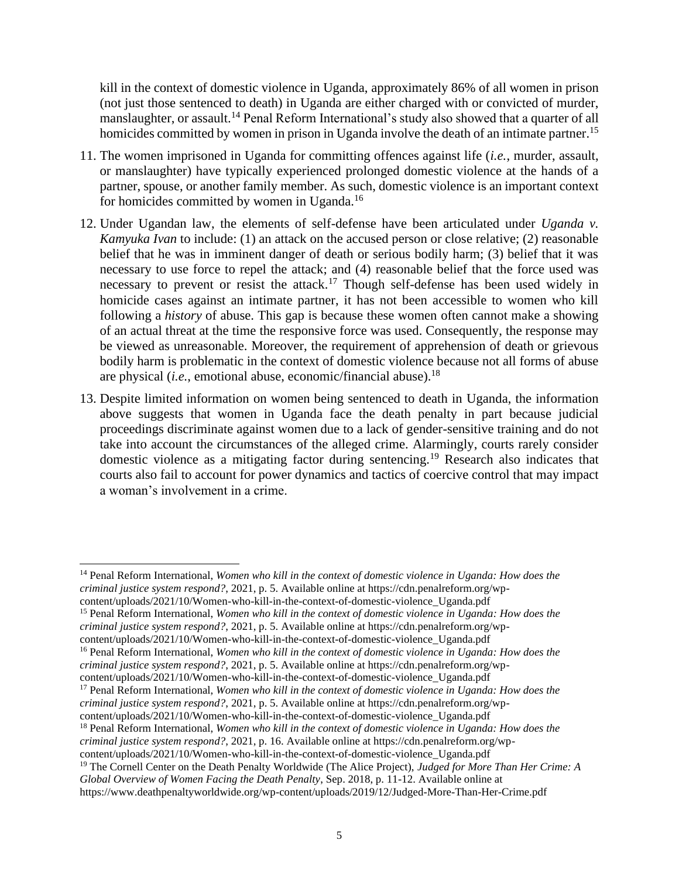kill in the context of domestic violence in Uganda, approximately 86% of all women in prison (not just those sentenced to death) in Uganda are either charged with or convicted of murder, manslaughter, or assault.<sup>14</sup> Penal Reform International's study also showed that a quarter of all homicides committed by women in prison in Uganda involve the death of an intimate partner.<sup>15</sup>

- 11. The women imprisoned in Uganda for committing offences against life (*i.e.*, murder, assault, or manslaughter) have typically experienced prolonged domestic violence at the hands of a partner, spouse, or another family member. As such, domestic violence is an important context for homicides committed by women in Uganda.<sup>16</sup>
- 12. Under Ugandan law, the elements of self-defense have been articulated under *Uganda v. Kamyuka Ivan* to include: (1) an attack on the accused person or close relative; (2) reasonable belief that he was in imminent danger of death or serious bodily harm; (3) belief that it was necessary to use force to repel the attack; and (4) reasonable belief that the force used was necessary to prevent or resist the attack.<sup>17</sup> Though self-defense has been used widely in homicide cases against an intimate partner, it has not been accessible to women who kill following a *history* of abuse. This gap is because these women often cannot make a showing of an actual threat at the time the responsive force was used. Consequently, the response may be viewed as unreasonable. Moreover, the requirement of apprehension of death or grievous bodily harm is problematic in the context of domestic violence because not all forms of abuse are physical (*i.e.*, emotional abuse, economic/financial abuse).<sup>18</sup>
- 13. Despite limited information on women being sentenced to death in Uganda, the information above suggests that women in Uganda face the death penalty in part because judicial proceedings discriminate against women due to a lack of gender-sensitive training and do not take into account the circumstances of the alleged crime. Alarmingly, courts rarely consider domestic violence as a mitigating factor during sentencing.<sup>19</sup> Research also indicates that courts also fail to account for power dynamics and tactics of coercive control that may impact a woman's involvement in a crime.

<sup>14</sup> Penal Reform International, *Women who kill in the context of domestic violence in Uganda: How does the criminal justice system respond?*, 2021, p. 5. Available online at https://cdn.penalreform.org/wpcontent/uploads/2021/10/Women-who-kill-in-the-context-of-domestic-violence\_Uganda.pdf

<sup>15</sup> Penal Reform International, *Women who kill in the context of domestic violence in Uganda: How does the criminal justice system respond?*, 2021, p. 5. Available online at https://cdn.penalreform.org/wpcontent/uploads/2021/10/Women-who-kill-in-the-context-of-domestic-violence\_Uganda.pdf

<sup>16</sup> Penal Reform International, *Women who kill in the context of domestic violence in Uganda: How does the criminal justice system respond?*, 2021, p. 5. Available online at https://cdn.penalreform.org/wp-

content/uploads/2021/10/Women-who-kill-in-the-context-of-domestic-violence\_Uganda.pdf

<sup>17</sup> Penal Reform International, *Women who kill in the context of domestic violence in Uganda: How does the criminal justice system respond?*, 2021, p. 5. Available online at https://cdn.penalreform.org/wp-

content/uploads/2021/10/Women-who-kill-in-the-context-of-domestic-violence\_Uganda.pdf

<sup>18</sup> Penal Reform International, *Women who kill in the context of domestic violence in Uganda: How does the* 

*criminal justice system respond?*, 2021, p. 16. Available online at https://cdn.penalreform.org/wp-

content/uploads/2021/10/Women-who-kill-in-the-context-of-domestic-violence\_Uganda.pdf

<sup>19</sup> The Cornell Center on the Death Penalty Worldwide (The Alice Project), *Judged for More Than Her Crime: A Global Overview of Women Facing the Death Penalty*, Sep. 2018, p. 11-12. Available online at https://www.deathpenaltyworldwide.org/wp-content/uploads/2019/12/Judged-More-Than-Her-Crime.pdf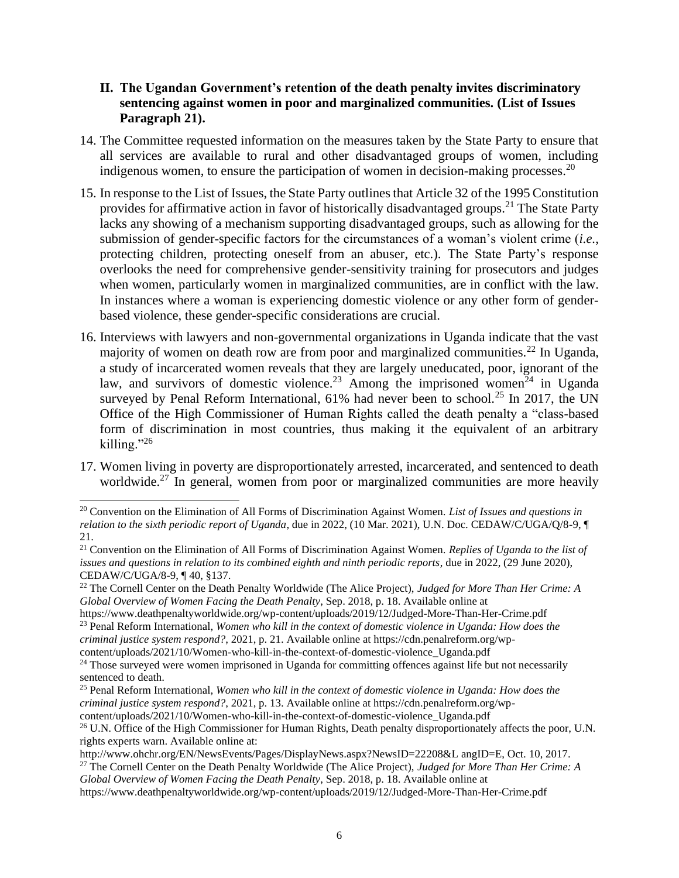#### **II. The Ugandan Government's retention of the death penalty invites discriminatory sentencing against women in poor and marginalized communities. (List of Issues Paragraph 21).**

- 14. The Committee requested information on the measures taken by the State Party to ensure that all services are available to rural and other disadvantaged groups of women, including indigenous women, to ensure the participation of women in decision-making processes.<sup>20</sup>
- 15. In response to the List of Issues, the State Party outlines that Article 32 of the 1995 Constitution provides for affirmative action in favor of historically disadvantaged groups.<sup>21</sup> The State Party lacks any showing of a mechanism supporting disadvantaged groups, such as allowing for the submission of gender-specific factors for the circumstances of a woman's violent crime (*i.e.*, protecting children, protecting oneself from an abuser, etc.). The State Party's response overlooks the need for comprehensive gender-sensitivity training for prosecutors and judges when women, particularly women in marginalized communities, are in conflict with the law. In instances where a woman is experiencing domestic violence or any other form of genderbased violence, these gender-specific considerations are crucial.
- 16. Interviews with lawyers and non-governmental organizations in Uganda indicate that the vast majority of women on death row are from poor and marginalized communities.<sup>22</sup> In Uganda, a study of incarcerated women reveals that they are largely uneducated, poor, ignorant of the law, and survivors of domestic violence.<sup>23</sup> Among the imprisoned women<sup>24</sup> in Uganda surveyed by Penal Reform International,  $61\%$  had never been to school.<sup>25</sup> In 2017, the UN Office of the High Commissioner of Human Rights called the death penalty a "class-based form of discrimination in most countries, thus making it the equivalent of an arbitrary killing." $^{26}$
- 17. Women living in poverty are disproportionately arrested, incarcerated, and sentenced to death worldwide.<sup>27</sup> In general, women from poor or marginalized communities are more heavily

https://www.deathpenaltyworldwide.org/wp-content/uploads/2019/12/Judged-More-Than-Her-Crime.pdf <sup>23</sup> Penal Reform International, *Women who kill in the context of domestic violence in Uganda: How does the criminal justice system respond?*, 2021, p. 21. Available online at https://cdn.penalreform.org/wpcontent/uploads/2021/10/Women-who-kill-in-the-context-of-domestic-violence\_Uganda.pdf

<sup>20</sup> Convention on the Elimination of All Forms of Discrimination Against Women. *List of Issues and questions in relation to the sixth periodic report of Uganda*, due in 2022, (10 Mar. 2021), U.N. Doc. CEDAW/C/UGA/Q/8-9, ¶ 21.

<sup>21</sup> Convention on the Elimination of All Forms of Discrimination Against Women. *Replies of Uganda to the list of issues and questions in relation to its combined eighth and ninth periodic reports*, due in 2022, (29 June 2020), CEDAW/C/UGA/8-9, ¶ 40, §137.

<sup>22</sup> The Cornell Center on the Death Penalty Worldwide (The Alice Project), *Judged for More Than Her Crime: A Global Overview of Women Facing the Death Penalty*, Sep. 2018, p. 18. Available online at

<sup>&</sup>lt;sup>24</sup> Those surveyed were women imprisoned in Uganda for committing offences against life but not necessarily sentenced to death.

<sup>25</sup> Penal Reform International, *Women who kill in the context of domestic violence in Uganda: How does the criminal justice system respond?*, 2021, p. 13. Available online at https://cdn.penalreform.org/wpcontent/uploads/2021/10/Women-who-kill-in-the-context-of-domestic-violence\_Uganda.pdf

<sup>&</sup>lt;sup>26</sup> U.N. Office of the High Commissioner for Human Rights, Death penalty disproportionately affects the poor, U.N. rights experts warn. Available online at:

http://www.ohchr.org/EN/NewsEvents/Pages/DisplayNews.aspx?NewsID=22208&L angID=E, Oct. 10, 2017.

<sup>27</sup> The Cornell Center on the Death Penalty Worldwide (The Alice Project), *Judged for More Than Her Crime: A Global Overview of Women Facing the Death Penalty*, Sep. 2018, p. 18. Available online at

https://www.deathpenaltyworldwide.org/wp-content/uploads/2019/12/Judged-More-Than-Her-Crime.pdf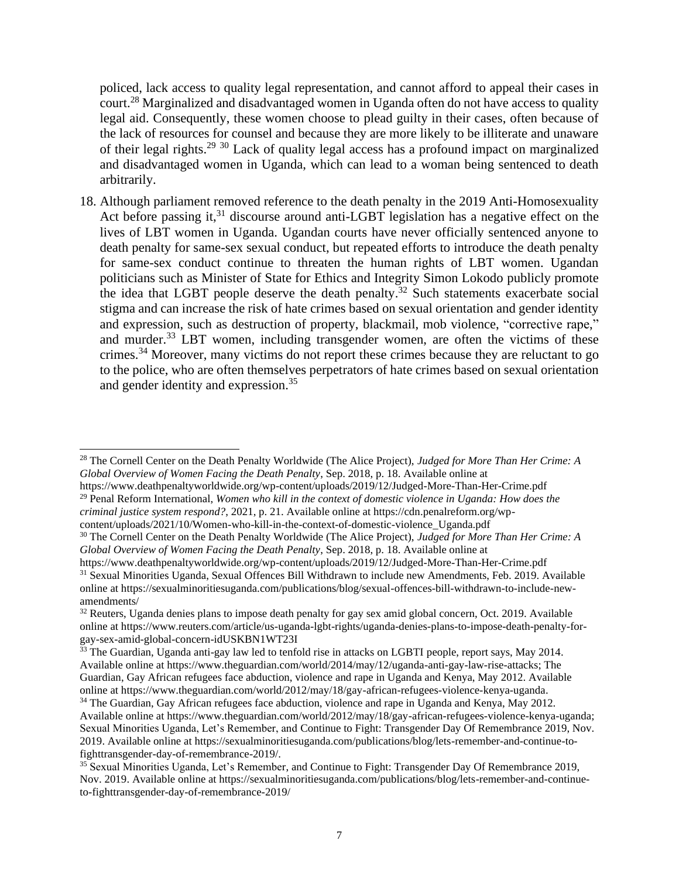policed, lack access to quality legal representation, and cannot afford to appeal their cases in court.<sup>28</sup> Marginalized and disadvantaged women in Uganda often do not have access to quality legal aid. Consequently, these women choose to plead guilty in their cases, often because of the lack of resources for counsel and because they are more likely to be illiterate and unaware of their legal rights.<sup>29</sup> <sup>30</sup> Lack of quality legal access has a profound impact on marginalized and disadvantaged women in Uganda, which can lead to a woman being sentenced to death arbitrarily.

18. Although parliament removed reference to the death penalty in the 2019 Anti-Homosexuality Act before passing it,<sup>31</sup> discourse around anti-LGBT legislation has a negative effect on the lives of LBT women in Uganda. Ugandan courts have never officially sentenced anyone to death penalty for same-sex sexual conduct, but repeated efforts to introduce the death penalty for same-sex conduct continue to threaten the human rights of LBT women. Ugandan politicians such as Minister of State for Ethics and Integrity Simon Lokodo publicly promote the idea that LGBT people deserve the death penalty.<sup>32</sup> Such statements exacerbate social stigma and can increase the risk of hate crimes based on sexual orientation and gender identity and expression, such as destruction of property, blackmail, mob violence, "corrective rape," and murder.<sup>33</sup> LBT women, including transgender women, are often the victims of these crimes.<sup>34</sup> Moreover, many victims do not report these crimes because they are reluctant to go to the police, who are often themselves perpetrators of hate crimes based on sexual orientation and gender identity and expression. 35

<sup>28</sup> The Cornell Center on the Death Penalty Worldwide (The Alice Project), *Judged for More Than Her Crime: A Global Overview of Women Facing the Death Penalty*, Sep. 2018, p. 18. Available online at

https://www.deathpenaltyworldwide.org/wp-content/uploads/2019/12/Judged-More-Than-Her-Crime.pdf <sup>29</sup> Penal Reform International, *Women who kill in the context of domestic violence in Uganda: How does the criminal justice system respond?*, 2021, p. 21. Available online at https://cdn.penalreform.org/wpcontent/uploads/2021/10/Women-who-kill-in-the-context-of-domestic-violence\_Uganda.pdf

<sup>30</sup> The Cornell Center on the Death Penalty Worldwide (The Alice Project), *Judged for More Than Her Crime: A Global Overview of Women Facing the Death Penalty*, Sep. 2018, p. 18. Available online at

https://www.deathpenaltyworldwide.org/wp-content/uploads/2019/12/Judged-More-Than-Her-Crime.pdf <sup>31</sup> Sexual Minorities Uganda, Sexual Offences Bill Withdrawn to include new Amendments, Feb. 2019. Available online at https://sexualminoritiesuganda.com/publications/blog/sexual-offences-bill-withdrawn-to-include-newamendments/

<sup>&</sup>lt;sup>32</sup> Reuters, Uganda denies plans to impose death penalty for gay sex amid global concern, Oct. 2019. Available online at https://www.reuters.com/article/us-uganda-lgbt-rights/uganda-denies-plans-to-impose-death-penalty-forgay-sex-amid-global-concern-idUSKBN1WT23I

<sup>&</sup>lt;sup>33</sup> The Guardian, Uganda anti-gay law led to tenfold rise in attacks on LGBTI people, report says, May 2014. Available online at https://www.theguardian.com/world/2014/may/12/uganda-anti-gay-law-rise-attacks; The Guardian, Gay African refugees face abduction, violence and rape in Uganda and Kenya, May 2012. Available online at https://www.theguardian.com/world/2012/may/18/gay-african-refugees-violence-kenya-uganda.

<sup>34</sup> The Guardian, Gay African refugees face abduction, violence and rape in Uganda and Kenya, May 2012. Available online at https://www.theguardian.com/world/2012/may/18/gay-african-refugees-violence-kenya-uganda; Sexual Minorities Uganda, Let's Remember, and Continue to Fight: Transgender Day Of Remembrance 2019, Nov. 2019. Available online at https://sexualminoritiesuganda.com/publications/blog/lets-remember-and-continue-tofighttransgender-day-of-remembrance-2019/.

<sup>&</sup>lt;sup>35</sup> Sexual Minorities Uganda, Let's Remember, and Continue to Fight: Transgender Day Of Remembrance 2019, Nov. 2019. Available online at https://sexualminoritiesuganda.com/publications/blog/lets-remember-and-continueto-fighttransgender-day-of-remembrance-2019/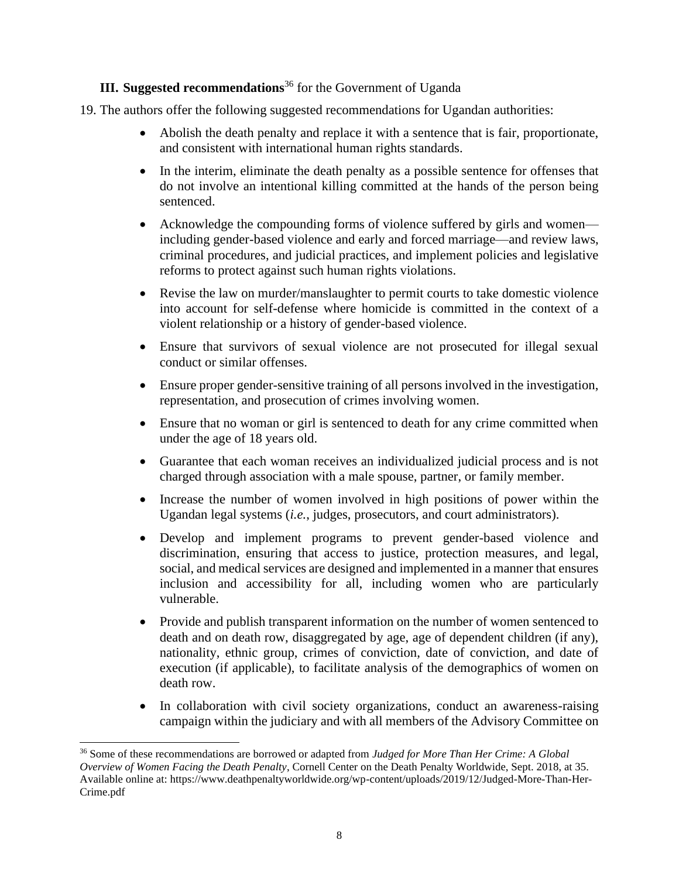## **III. Suggested recommendations**<sup>36</sup> for the Government of Uganda

- 19. The authors offer the following suggested recommendations for Ugandan authorities:
	- Abolish the death penalty and replace it with a sentence that is fair, proportionate, and consistent with international human rights standards.
	- In the interim, eliminate the death penalty as a possible sentence for offenses that do not involve an intentional killing committed at the hands of the person being sentenced.
	- Acknowledge the compounding forms of violence suffered by girls and women including gender-based violence and early and forced marriage—and review laws, criminal procedures, and judicial practices, and implement policies and legislative reforms to protect against such human rights violations.
	- Revise the law on murder/manslaughter to permit courts to take domestic violence into account for self-defense where homicide is committed in the context of a violent relationship or a history of gender-based violence.
	- Ensure that survivors of sexual violence are not prosecuted for illegal sexual conduct or similar offenses.
	- Ensure proper gender-sensitive training of all persons involved in the investigation, representation, and prosecution of crimes involving women.
	- Ensure that no woman or girl is sentenced to death for any crime committed when under the age of 18 years old.
	- Guarantee that each woman receives an individualized judicial process and is not charged through association with a male spouse, partner, or family member.
	- Increase the number of women involved in high positions of power within the Ugandan legal systems (*i.e.*, judges, prosecutors, and court administrators).
	- Develop and implement programs to prevent gender-based violence and discrimination, ensuring that access to justice, protection measures, and legal, social, and medical services are designed and implemented in a manner that ensures inclusion and accessibility for all, including women who are particularly vulnerable.
	- Provide and publish transparent information on the number of women sentenced to death and on death row, disaggregated by age, age of dependent children (if any), nationality, ethnic group, crimes of conviction, date of conviction, and date of execution (if applicable), to facilitate analysis of the demographics of women on death row.
	- In collaboration with civil society organizations, conduct an awareness-raising campaign within the judiciary and with all members of the Advisory Committee on

<sup>36</sup> Some of these recommendations are borrowed or adapted from *Judged for More Than Her Crime: A Global Overview of Women Facing the Death Penalty*, Cornell Center on the Death Penalty Worldwide, Sept. 2018, at 35. Available online at: https://www.deathpenaltyworldwide.org/wp-content/uploads/2019/12/Judged-More-Than-Her-Crime.pdf